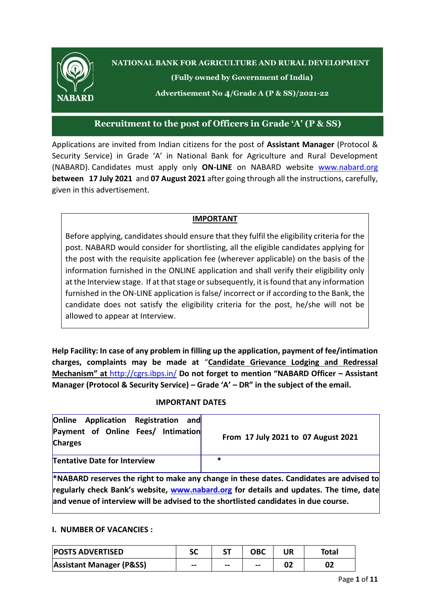

**NATIONAL BANK FOR AGRICULTURE AND RURAL DEVELOPMENT**

**(Fully owned by Government of India)**

**Advertisement No 4/Grade A (P & SS)/2021-22**

## **Recruitment to the post of Officers in Grade 'A' (P & SS)**

Applications are invited from Indian citizens for the post of **Assistant Manager** (Protocol & Security Service) in Grade 'A' in National Bank for Agriculture and Rural Development (NABARD). Candidates must apply only **ON-LINE** on NABARD website [www.nabard.org](http://www.nabard.org/) **between 17 July 2021** and **07 August 2021** after going through all the instructions, carefully, given in this advertisement.

### **IMPORTANT**

Before applying, candidates should ensure that they fulfil the eligibility criteria for the post. NABARD would consider for shortlisting, all the eligible candidates applying for the post with the requisite application fee (wherever applicable) on the basis of the information furnished in the ONLINE application and shall verify their eligibility only at the Interview stage. If at that stage or subsequently, it is found that any information furnished in the ON-LINE application is false/ incorrect or if according to the Bank, the candidate does not satisfy the eligibility criteria for the post, he/she will not be allowed to appear at Interview.

**Help Facility: In case of any problem in filling up the application, payment of fee/intimation charges, complaints may be made at** "**Candidate Grievance Lodging and Redressal Mechanism" at** <http://cgrs.ibps.in/> **Do not forget to mention "NABARD Officer – Assistant Manager (Protocol & Security Service) – Grade 'A' – DR" in the subject of the email.**

### **IMPORTANT DATES**

| <b>Online Application Registration</b><br>andl<br>Payment of Online Fees/ Intimation<br><b>Charges</b> | From 17 July 2021 to 07 August 2021                                                            |
|--------------------------------------------------------------------------------------------------------|------------------------------------------------------------------------------------------------|
| <b>Tentative Date for Interview</b>                                                                    | *                                                                                              |
|                                                                                                        | <b>*NABARD</b> reserves the right to make any change in these dates. Candidates are advised to |

**regularly check Bank's website, [www.nabard.org](http://www.nabard.org/) for details and updates. The time, date and venue of interview will be advised to the shortlisted candidates in due course.**

#### **I. NUMBER OF VACANCIES :**

| <b>POSTS ADVERTISED</b>             | SC    |       | ОВС   | UR | Total |
|-------------------------------------|-------|-------|-------|----|-------|
| <b>Assistant Manager (P&amp;SS)</b> | $- -$ | $- -$ | $- -$ | 02 | 02    |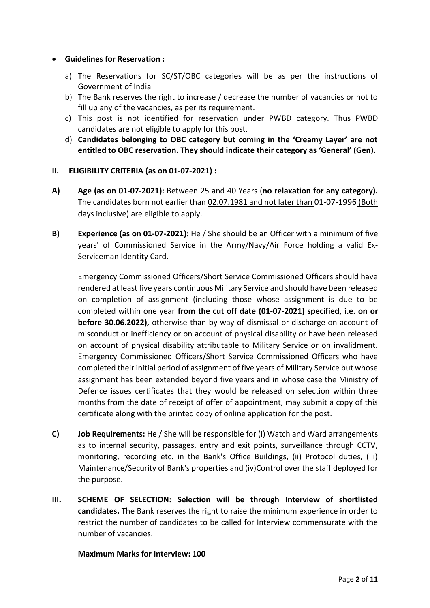#### **Guidelines for Reservation :**

- a) The Reservations for SC/ST/OBC categories will be as per the instructions of Government of India
- b) The Bank reserves the right to increase / decrease the number of vacancies or not to fill up any of the vacancies, as per its requirement.
- c) This post is not identified for reservation under PWBD category. Thus PWBD candidates are not eligible to apply for this post.
- d) **Candidates belonging to OBC category but coming in the 'Creamy Layer' are not entitled to OBC reservation. They should indicate their category as 'General' (Gen).**
- **II. ELIGIBILITY CRITERIA (as on 01-07-2021) :**
- **A) Age (as on 01-07-2021):** Between 25 and 40 Years (**no relaxation for any category).**  The candidates born not earlier than 02.07.1981 and not later than 01-07-1996 (Both days inclusive) are eligible to apply.
- **B) Experience (as on 01-07-2021):** He / She should be an Officer with a minimum of five years' of Commissioned Service in the Army/Navy/Air Force holding a valid Ex-Serviceman Identity Card.

Emergency Commissioned Officers/Short Service Commissioned Officers should have rendered at least five years continuous Military Service and should have been released on completion of assignment (including those whose assignment is due to be completed within one year **from the cut off date (01-07-2021) specified, i.e. on or before 30.06.2022),** otherwise than by way of dismissal or discharge on account of misconduct or inefficiency or on account of physical disability or have been released on account of physical disability attributable to Military Service or on invalidment. Emergency Commissioned Officers/Short Service Commissioned Officers who have completed their initial period of assignment of five years of Military Service but whose assignment has been extended beyond five years and in whose case the Ministry of Defence issues certificates that they would be released on selection within three months from the date of receipt of offer of appointment, may submit a copy of this certificate along with the printed copy of online application for the post.

- **C) Job Requirements:** He / She will be responsible for (i) Watch and Ward arrangements as to internal security, passages, entry and exit points, surveillance through CCTV, monitoring, recording etc. in the Bank's Office Buildings, (ii) Protocol duties, (iii) Maintenance/Security of Bank's properties and (iv)Control over the staff deployed for the purpose.
- **III. SCHEME OF SELECTION: Selection will be through Interview of shortlisted candidates.** The Bank reserves the right to raise the minimum experience in order to restrict the number of candidates to be called for Interview commensurate with the number of vacancies.

#### **Maximum Marks for Interview: 100**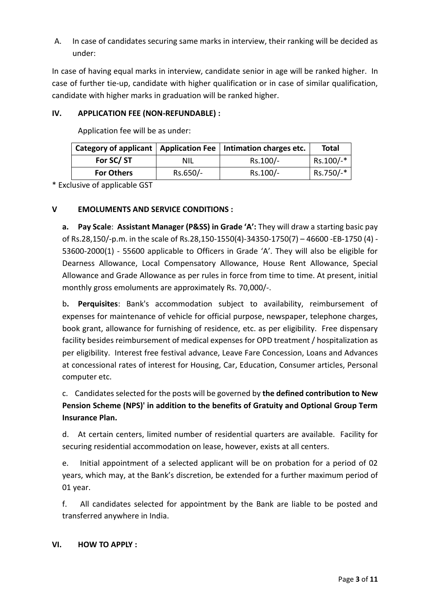A. In case of candidates securing same marks in interview, their ranking will be decided as under:

In case of having equal marks in interview, candidate senior in age will be ranked higher. In case of further tie-up, candidate with higher qualification or in case of similar qualification, candidate with higher marks in graduation will be ranked higher.

## **IV. APPLICATION FEE (NON-REFUNDABLE) :**

Application fee will be as under:

|                   |            | Category of applicant   Application Fee   Intimation charges etc. | <b>Total</b> |
|-------------------|------------|-------------------------------------------------------------------|--------------|
| For SC/ST         | <b>NIL</b> | Rs.100/-                                                          | Rs.100/-*    |
| <b>For Others</b> | Rs.650/-   | Rs.100/-                                                          | Rs.750/-*    |

\* Exclusive of applicable GST

### **V EMOLUMENTS AND SERVICE CONDITIONS :**

**a. Pay Scale**: **Assistant Manager (P&SS) in Grade 'A':** They will draw a starting basic pay of Rs.28,150/-p.m. in the scale of Rs.28,150-1550(4)-34350-1750(7) – 46600 -EB-1750 (4) - 53600-2000(1) - 55600 applicable to Officers in Grade 'A'. They will also be eligible for Dearness Allowance, Local Compensatory Allowance, House Rent Allowance, Special Allowance and Grade Allowance as per rules in force from time to time. At present, initial monthly gross emoluments are approximately Rs. 70,000/-.

b**. Perquisites**: Bank's accommodation subject to availability, reimbursement of expenses for maintenance of vehicle for official purpose, newspaper, telephone charges, book grant, allowance for furnishing of residence, etc. as per eligibility. Free dispensary facility besides reimbursement of medical expenses for OPD treatment / hospitalization as per eligibility. Interest free festival advance, Leave Fare Concession, Loans and Advances at concessional rates of interest for Housing, Car, Education, Consumer articles, Personal computer etc.

c. Candidates selected for the posts will be governed by **the defined contribution to New Pension Scheme (NPS)' in addition to the benefits of Gratuity and Optional Group Term Insurance Plan.**

d. At certain centers, limited number of residential quarters are available. Facility for securing residential accommodation on lease, however, exists at all centers.

e. Initial appointment of a selected applicant will be on probation for a period of 02 years, which may, at the Bank's discretion, be extended for a further maximum period of 01 year.

f. All candidates selected for appointment by the Bank are liable to be posted and transferred anywhere in India.

### **VI. HOW TO APPLY :**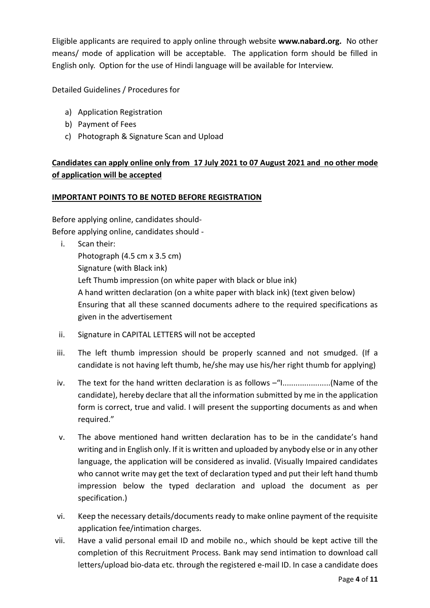Eligible applicants are required to apply online through website **www.nabard.org.** No other means/ mode of application will be acceptable. The application form should be filled in English only. Option for the use of Hindi language will be available for Interview.

Detailed Guidelines / Procedures for

- a) Application Registration
- b) Payment of Fees
- c) Photograph & Signature Scan and Upload

# **Candidates can apply online only from 17 July 2021 to 07 August 2021 and no other mode of application will be accepted**

#### **IMPORTANT POINTS TO BE NOTED BEFORE REGISTRATION**

Before applying online, candidates should-Before applying online, candidates should -

- i. Scan their: Photograph (4.5 cm x 3.5 cm) Signature (with Black ink) Left Thumb impression (on white paper with black or blue ink) A hand written declaration (on a white paper with black ink) (text given below) Ensuring that all these scanned documents adhere to the required specifications as given in the advertisement
- ii. Signature in CAPITAL LETTERS will not be accepted
- iii. The left thumb impression should be properly scanned and not smudged. (If a candidate is not having left thumb, he/she may use his/her right thumb for applying)
- iv. The text for the hand written declaration is as follows –"I......................(Name of the candidate), hereby declare that all the information submitted by me in the application form is correct, true and valid. I will present the supporting documents as and when required."
- v. The above mentioned hand written declaration has to be in the candidate's hand writing and in English only. If it is written and uploaded by anybody else or in any other language, the application will be considered as invalid. (Visually Impaired candidates who cannot write may get the text of declaration typed and put their left hand thumb impression below the typed declaration and upload the document as per specification.)
- vi. Keep the necessary details/documents ready to make online payment of the requisite application fee/intimation charges.
- vii. Have a valid personal email ID and mobile no., which should be kept active till the completion of this Recruitment Process. Bank may send intimation to download call letters/upload bio-data etc. through the registered e-mail ID. In case a candidate does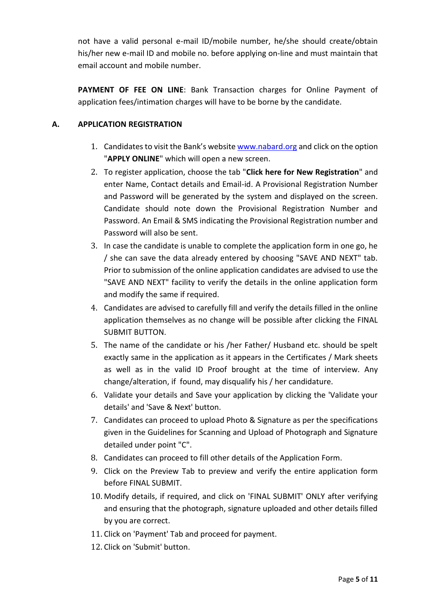not have a valid personal e-mail ID/mobile number, he/she should create/obtain his/her new e-mail ID and mobile no. before applying on-line and must maintain that email account and mobile number.

**PAYMENT OF FEE ON LINE**: Bank Transaction charges for Online Payment of application fees/intimation charges will have to be borne by the candidate.

## **A. APPLICATION REGISTRATION**

- 1. Candidates to visit the Bank's website [www.nabard.org](http://www.nabard.org/) and click on the option "**APPLY ONLINE**" which will open a new screen.
- 2. To register application, choose the tab "**Click here for New Registration**" and enter Name, Contact details and Email-id. A Provisional Registration Number and Password will be generated by the system and displayed on the screen. Candidate should note down the Provisional Registration Number and Password. An Email & SMS indicating the Provisional Registration number and Password will also be sent.
- 3. In case the candidate is unable to complete the application form in one go, he / she can save the data already entered by choosing "SAVE AND NEXT" tab. Prior to submission of the online application candidates are advised to use the "SAVE AND NEXT" facility to verify the details in the online application form and modify the same if required.
- 4. Candidates are advised to carefully fill and verify the details filled in the online application themselves as no change will be possible after clicking the FINAL SUBMIT BUTTON.
- 5. The name of the candidate or his /her Father/ Husband etc. should be spelt exactly same in the application as it appears in the Certificates / Mark sheets as well as in the valid ID Proof brought at the time of interview. Any change/alteration, if found, may disqualify his / her candidature.
- 6. Validate your details and Save your application by clicking the 'Validate your details' and 'Save & Next' button.
- 7. Candidates can proceed to upload Photo & Signature as per the specifications given in the Guidelines for Scanning and Upload of Photograph and Signature detailed under point "C".
- 8. Candidates can proceed to fill other details of the Application Form.
- 9. Click on the Preview Tab to preview and verify the entire application form before FINAL SUBMIT.
- 10. Modify details, if required, and click on 'FINAL SUBMIT' ONLY after verifying and ensuring that the photograph, signature uploaded and other details filled by you are correct.
- 11. Click on 'Payment' Tab and proceed for payment.
- 12. Click on 'Submit' button.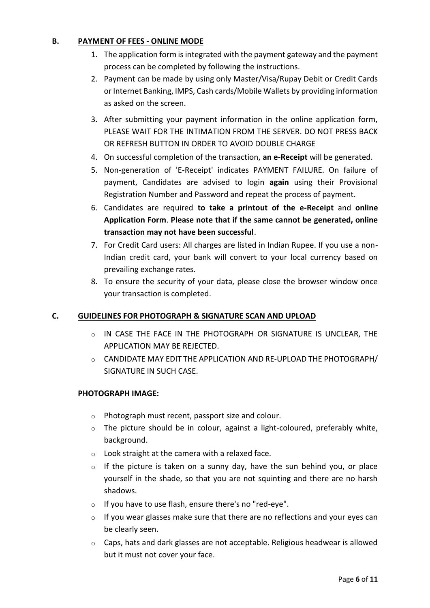### **B. PAYMENT OF FEES - ONLINE MODE**

- 1. The application form is integrated with the payment gateway and the payment process can be completed by following the instructions.
- 2. Payment can be made by using only Master/Visa/Rupay Debit or Credit Cards or Internet Banking, IMPS, Cash cards/Mobile Wallets by providing information as asked on the screen.
- 3. After submitting your payment information in the online application form, PLEASE WAIT FOR THE INTIMATION FROM THE SERVER. DO NOT PRESS BACK OR REFRESH BUTTON IN ORDER TO AVOID DOUBLE CHARGE
- 4. On successful completion of the transaction, **an e-Receipt** will be generated.
- 5. Non-generation of 'E-Receipt' indicates PAYMENT FAILURE. On failure of payment, Candidates are advised to login **again** using their Provisional Registration Number and Password and repeat the process of payment.
- 6. Candidates are required **to take a printout of the e-Receipt** and **online Application Form**. **Please note that if the same cannot be generated, online transaction may not have been successful**.
- 7. For Credit Card users: All charges are listed in Indian Rupee. If you use a non-Indian credit card, your bank will convert to your local currency based on prevailing exchange rates.
- 8. To ensure the security of your data, please close the browser window once your transaction is completed.

### **C. GUIDELINES FOR PHOTOGRAPH & SIGNATURE SCAN AND UPLOAD**

- o IN CASE THE FACE IN THE PHOTOGRAPH OR SIGNATURE IS UNCLEAR, THE APPLICATION MAY BE REJECTED.
- o CANDIDATE MAY EDIT THE APPLICATION AND RE-UPLOAD THE PHOTOGRAPH/ SIGNATURE IN SUCH CASE.

#### **PHOTOGRAPH IMAGE:**

- o Photograph must recent, passport size and colour.
- o The picture should be in colour, against a light-coloured, preferably white, background.
- $\circ$  Look straight at the camera with a relaxed face.
- $\circ$  If the picture is taken on a sunny day, have the sun behind you, or place yourself in the shade, so that you are not squinting and there are no harsh shadows.
- o If you have to use flash, ensure there's no "red-eye".
- o If you wear glasses make sure that there are no reflections and your eyes can be clearly seen.
- o Caps, hats and dark glasses are not acceptable. Religious headwear is allowed but it must not cover your face.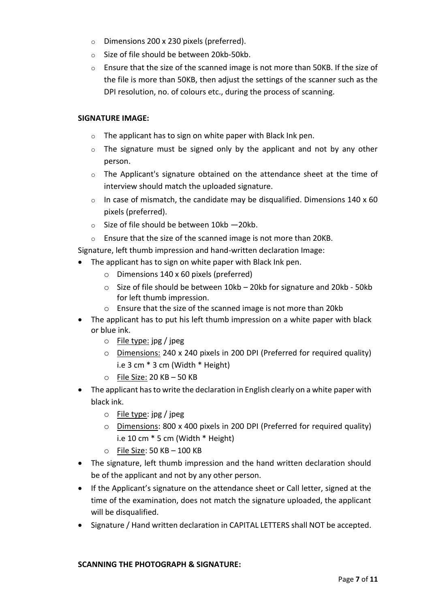- o Dimensions 200 x 230 pixels (preferred).
- o Size of file should be between 20kb-50kb.
- o Ensure that the size of the scanned image is not more than 50KB. If the size of the file is more than 50KB, then adjust the settings of the scanner such as the DPI resolution, no. of colours etc., during the process of scanning.

#### **SIGNATURE IMAGE:**

- $\circ$  The applicant has to sign on white paper with Black Ink pen.
- $\circ$  The signature must be signed only by the applicant and not by any other person.
- $\circ$  The Applicant's signature obtained on the attendance sheet at the time of interview should match the uploaded signature.
- $\circ$  In case of mismatch, the candidate may be disqualified. Dimensions 140 x 60 pixels (preferred).
- $\circ$  Size of file should be between 10kb -20kb.
- o Ensure that the size of the scanned image is not more than 20KB.

Signature, left thumb impression and hand-written declaration Image:

- The applicant has to sign on white paper with Black Ink pen.
	- o Dimensions 140 x 60 pixels (preferred)
	- $\circ$  Size of file should be between 10kb 20kb for signature and 20kb 50kb for left thumb impression.
	- o Ensure that the size of the scanned image is not more than 20kb
- The applicant has to put his left thumb impression on a white paper with black or blue ink.
	- $\circ$  File type: jpg / jpeg
	- o Dimensions: 240 x 240 pixels in 200 DPI (Preferred for required quality) i.e 3 cm \* 3 cm (Width \* Height)
	- $\circ$  File Size: 20 KB 50 KB
- The applicant has to write the declaration in English clearly on a white paper with black ink.
	- o File type: jpg / jpeg
	- o Dimensions: 800 x 400 pixels in 200 DPI (Preferred for required quality) i.e 10 cm \* 5 cm (Width \* Height)
	- $\circ$  File Size: 50 KB 100 KB
- The signature, left thumb impression and the hand written declaration should be of the applicant and not by any other person.
- If the Applicant's signature on the attendance sheet or Call letter, signed at the time of the examination, does not match the signature uploaded, the applicant will be disqualified.
- Signature / Hand written declaration in CAPITAL LETTERS shall NOT be accepted.

#### **SCANNING THE PHOTOGRAPH & SIGNATURE:**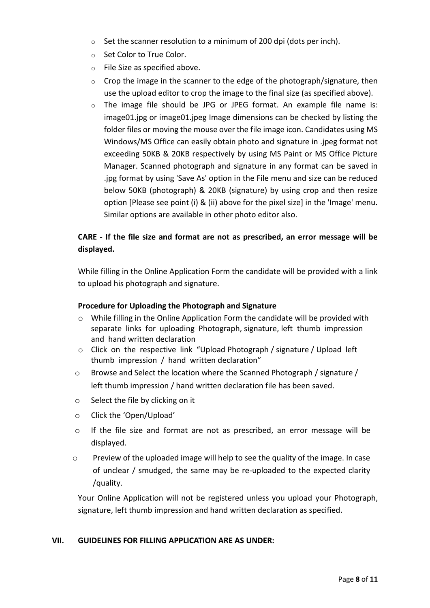- $\circ$  Set the scanner resolution to a minimum of 200 dpi (dots per inch).
- o Set Color to True Color.
- o File Size as specified above.
- $\circ$  Crop the image in the scanner to the edge of the photograph/signature, then use the upload editor to crop the image to the final size (as specified above).
- $\circ$  The image file should be JPG or JPEG format. An example file name is: image01.jpg or image01.jpeg Image dimensions can be checked by listing the folder files or moving the mouse over the file image icon. Candidates using MS Windows/MS Office can easily obtain photo and signature in .jpeg format not exceeding 50KB & 20KB respectively by using MS Paint or MS Office Picture Manager. Scanned photograph and signature in any format can be saved in .jpg format by using 'Save As' option in the File menu and size can be reduced below 50KB (photograph) & 20KB (signature) by using crop and then resize option [Please see point (i) & (ii) above for the pixel size] in the 'Image' menu. Similar options are available in other photo editor also.

## **CARE - If the file size and format are not as prescribed, an error message will be displayed.**

While filling in the Online Application Form the candidate will be provided with a link to upload his photograph and signature.

#### **Procedure for Uploading the Photograph and Signature**

- $\circ$  While filling in the Online Application Form the candidate will be provided with separate links for uploading Photograph, signature, left thumb impression and hand written declaration
- o Click on the respective link "Upload Photograph / signature / Upload left thumb impression / hand written declaration"
- o Browse and Select the location where the Scanned Photograph / signature / left thumb impression / hand written declaration file has been saved.
- o Select the file by clicking on it
- o Click the 'Open/Upload'
- o If the file size and format are not as prescribed, an error message will be displayed.
- $\circ$  Preview of the uploaded image will help to see the quality of the image. In case of unclear / smudged, the same may be re-uploaded to the expected clarity /quality.

Your Online Application will not be registered unless you upload your Photograph, signature, left thumb impression and hand written declaration as specified.

#### **VII. GUIDELINES FOR FILLING APPLICATION ARE AS UNDER:**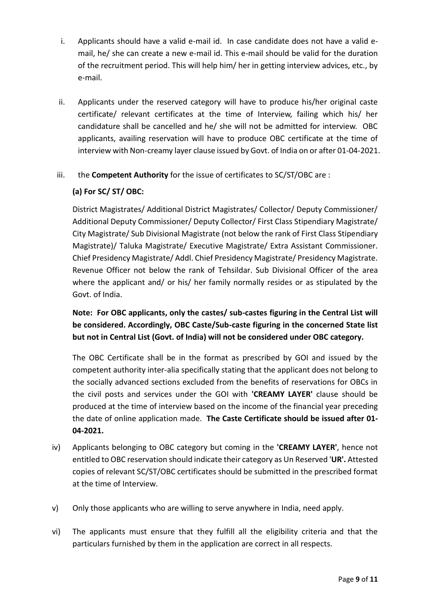- i. Applicants should have a valid e-mail id. In case candidate does not have a valid email, he/ she can create a new e-mail id. This e-mail should be valid for the duration of the recruitment period. This will help him/ her in getting interview advices, etc., by e-mail.
- ii. Applicants under the reserved category will have to produce his/her original caste certificate/ relevant certificates at the time of Interview, failing which his/ her candidature shall be cancelled and he/ she will not be admitted for interview. OBC applicants, availing reservation will have to produce OBC certificate at the time of interview with Non-creamy layer clause issued by Govt. of India on or after 01-04-2021.

### iii. the **Competent Authority** for the issue of certificates to SC/ST/OBC are :

## **(a) For SC/ ST/ OBC:**

District Magistrates/ Additional District Magistrates/ Collector/ Deputy Commissioner/ Additional Deputy Commissioner/ Deputy Collector/ First Class Stipendiary Magistrate/ City Magistrate/ Sub Divisional Magistrate (not below the rank of First Class Stipendiary Magistrate)/ Taluka Magistrate/ Executive Magistrate/ Extra Assistant Commissioner. Chief Presidency Magistrate/ Addl. Chief Presidency Magistrate/ Presidency Magistrate. Revenue Officer not below the rank of Tehsildar. Sub Divisional Officer of the area where the applicant and/ or his/ her family normally resides or as stipulated by the Govt. of India.

**Note: For OBC applicants, only the castes/ sub-castes figuring in the Central List will be considered. Accordingly, OBC Caste/Sub-caste figuring in the concerned State list but not in Central List (Govt. of India) will not be considered under OBC category.**

The OBC Certificate shall be in the format as prescribed by GOI and issued by the competent authority inter-alia specifically stating that the applicant does not belong to the socially advanced sections excluded from the benefits of reservations for OBCs in the civil posts and services under the GOI with **'CREAMY LAYER'** clause should be produced at the time of interview based on the income of the financial year preceding the date of online application made. **The Caste Certificate should be issued after 01- 04-2021.**

- iv) Applicants belonging to OBC category but coming in the **'CREAMY LAYER'**, hence not entitled to OBC reservation should indicate their category as Un Reserved '**UR'.** Attested copies of relevant SC/ST/OBC certificates should be submitted in the prescribed format at the time of Interview.
- v) Only those applicants who are willing to serve anywhere in India, need apply.
- vi) The applicants must ensure that they fulfill all the eligibility criteria and that the particulars furnished by them in the application are correct in all respects.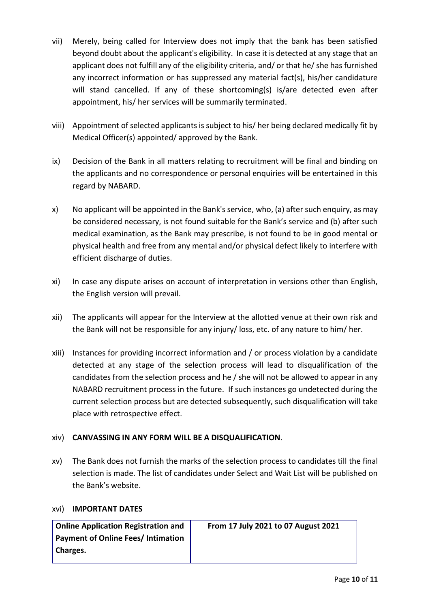- vii) Merely, being called for Interview does not imply that the bank has been satisfied beyond doubt about the applicant's eligibility. In case it is detected at any stage that an applicant does not fulfill any of the eligibility criteria, and/ or that he/ she has furnished any incorrect information or has suppressed any material fact(s), his/her candidature will stand cancelled. If any of these shortcoming(s) is/are detected even after appointment, his/ her services will be summarily terminated.
- viii) Appointment of selected applicants is subject to his/ her being declared medically fit by Medical Officer(s) appointed/ approved by the Bank.
- ix) Decision of the Bank in all matters relating to recruitment will be final and binding on the applicants and no correspondence or personal enquiries will be entertained in this regard by NABARD.
- x) No applicant will be appointed in the Bank's service, who, (a) after such enquiry, as may be considered necessary, is not found suitable for the Bank's service and (b) after such medical examination, as the Bank may prescribe, is not found to be in good mental or physical health and free from any mental and/or physical defect likely to interfere with efficient discharge of duties.
- xi) In case any dispute arises on account of interpretation in versions other than English, the English version will prevail.
- xii) The applicants will appear for the Interview at the allotted venue at their own risk and the Bank will not be responsible for any injury/ loss, etc. of any nature to him/ her.
- xiii) Instances for providing incorrect information and / or process violation by a candidate detected at any stage of the selection process will lead to disqualification of the candidates from the selection process and he / she will not be allowed to appear in any NABARD recruitment process in the future. If such instances go undetected during the current selection process but are detected subsequently, such disqualification will take place with retrospective effect.

### xiv) **CANVASSING IN ANY FORM WILL BE A DISQUALIFICATION**.

xv) The Bank does not furnish the marks of the selection process to candidates till the final selection is made. The list of candidates under Select and Wait List will be published on the Bank's website.

### xvi) **IMPORTANT DATES**

| <b>Online Application Registration and</b> | From 17 July 2021 to 07 August 2021 |
|--------------------------------------------|-------------------------------------|
| <b>Payment of Online Fees/Intimation</b>   |                                     |
| Charges.                                   |                                     |
|                                            |                                     |